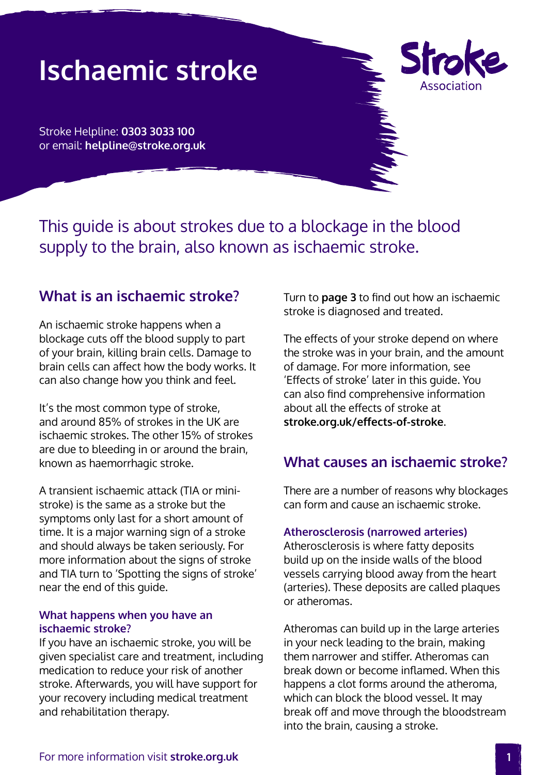# **Ischaemic stroke**

**Sh** Associatior

Stroke Helpline: **0303 3033 100** or email: **helpline@stroke.org.uk**

This guide is about strokes due to a blockage in the blood supply to the brain, also known as ischaemic stroke.

### **What is an ischaemic stroke?**

An ischaemic stroke happens when a blockage cuts off the blood supply to part of your brain, killing brain cells. Damage to brain cells can affect how the body works. It can also change how you think and feel.

It's the most common type of stroke, and around 85% of strokes in the UK are ischaemic strokes. The other 15% of strokes are due to bleeding in or around the brain, known as haemorrhagic stroke.

A transient ischaemic attack (TIA or ministroke) is the same as a stroke but the symptoms only last for a short amount of time. It is a major warning sign of a stroke and should always be taken seriously. For more information about the signs of stroke and TIA turn to 'Spotting the signs of stroke' near the end of this guide.

### **What happens when you have an ischaemic stroke?**

If you have an ischaemic stroke, you will be given specialist care and treatment, including medication to reduce your risk of another stroke. Afterwards, you will have support for your recovery including medical treatment and rehabilitation therapy.

Turn to **[page 3](#page-2-0)** to find out how an ischaemic stroke is diagnosed and treated.

The effects of your stroke depend on where the stroke was in your brain, and the amount of damage. For more information, see 'Effects of stroke' later in this guide. You can also find comprehensive information about all the effects of stroke at **[stroke.org.uk/effects-of-stroke](http://www.stroke.org.uk/effects-of-stroke)**.

### **What causes an ischaemic stroke?**

There are a number of reasons why blockages can form and cause an ischaemic stroke.

### **Atherosclerosis (narrowed arteries)**

Atherosclerosis is where fatty deposits build up on the inside walls of the blood vessels carrying blood away from the heart (arteries). These deposits are called plaques or atheromas.

Atheromas can build up in the large arteries in your neck leading to the brain, making them narrower and stiffer. Atheromas can break down or become inflamed. When this happens a clot forms around the atheroma, which can block the blood vessel. It may break off and move through the bloodstream into the brain, causing a stroke.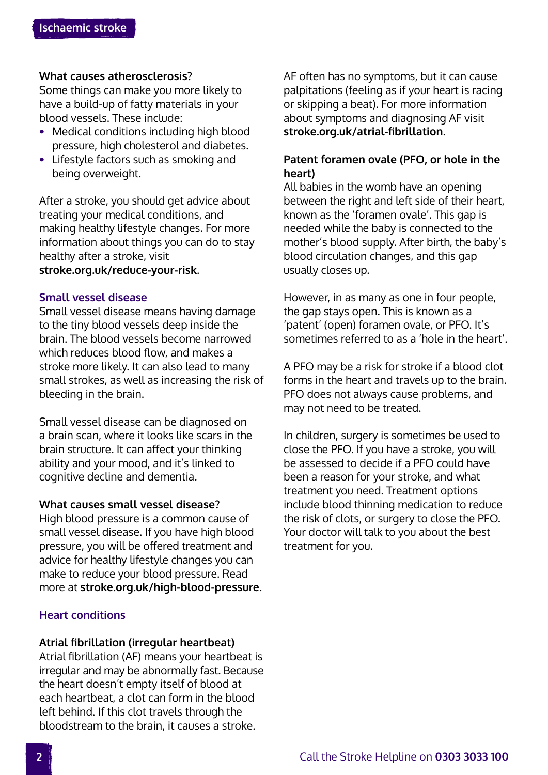### **What causes atherosclerosis?**

Some things can make you more likely to have a build-up of fatty materials in your blood vessels. These include:

- **•** Medical conditions including high blood pressure, high cholesterol and diabetes.
- **•** Lifestyle factors such as smoking and being overweight.

After a stroke, you should get advice about treating your medical conditions, and making healthy lifestyle changes. For more information about things you can do to stay healthy after a stroke, visit **[stroke.org.uk/reduce-your-risk](http://www.stroke.org.uk/reduce-your-risk)**.

### **Small vessel disease**

Small vessel disease means having damage to the tiny blood vessels deep inside the brain. The blood vessels become narrowed which reduces blood flow, and makes a stroke more likely. It can also lead to many small strokes, as well as increasing the risk of bleeding in the brain.

Small vessel disease can be diagnosed on a brain scan, where it looks like scars in the brain structure. It can affect your thinking ability and your mood, and it's linked to cognitive decline and dementia.

### **What causes small vessel disease?**

High blood pressure is a common cause of small vessel disease. If you have high blood pressure, you will be offered treatment and advice for healthy lifestyle changes you can make to reduce your blood pressure. Read more at **[stroke.org.uk/high-blood-pressure](http://www.stroke.org.uk/high-blood-pressure)**.

### **Heart conditions**

#### **Atrial fibrillation (irregular heartbeat)**

Atrial fibrillation (AF) means your heartbeat is irregular and may be abnormally fast. Because the heart doesn't empty itself of blood at each heartbeat, a clot can form in the blood left behind. If this clot travels through the bloodstream to the brain, it causes a stroke.

AF often has no symptoms, but it can cause palpitations (feeling as if your heart is racing or skipping a beat). For more information about symptoms and diagnosing AF visit **[stroke.org.uk/atrial-fibrillation](http://www.stroke.org.uk/atrial-fibrillation)**.

### **Patent foramen ovale (PFO, or hole in the heart)**

All babies in the womb have an opening between the right and left side of their heart, known as the 'foramen ovale'. This gap is needed while the baby is connected to the mother's blood supply. After birth, the baby's blood circulation changes, and this gap usually closes up.

However, in as many as one in four people, the gap stays open. This is known as a 'patent' (open) foramen ovale, or PFO. It's sometimes referred to as a 'hole in the heart'.

A PFO may be a risk for stroke if a blood clot forms in the heart and travels up to the brain. PFO does not always cause problems, and may not need to be treated.

In children, surgery is sometimes be used to close the PFO. If you have a stroke, you will be assessed to decide if a PFO could have been a reason for your stroke, and what treatment you need. Treatment options include blood thinning medication to reduce the risk of clots, or surgery to close the PFO. Your doctor will talk to you about the best treatment for you.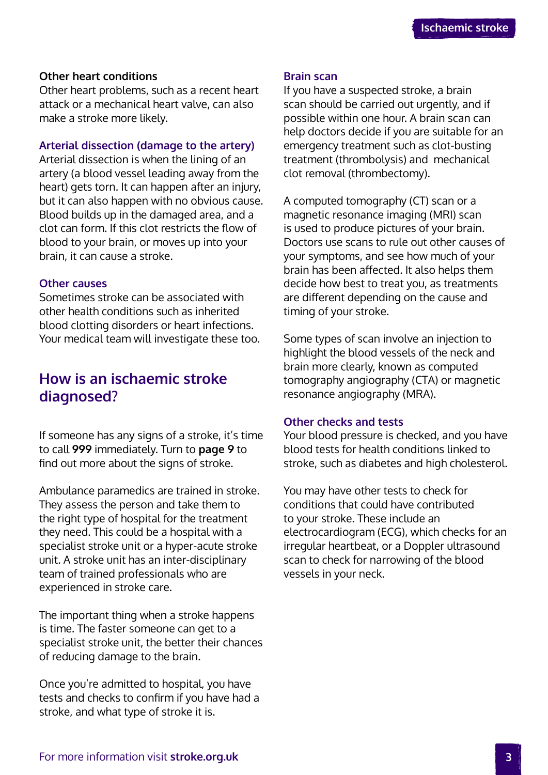### <span id="page-2-0"></span>**Other heart conditions**

Other heart problems, such as a recent heart attack or a mechanical heart valve, can also make a stroke more likely.

### **Arterial dissection (damage to the artery)**

Arterial dissection is when the lining of an artery (a blood vessel leading away from the heart) gets torn. It can happen after an injury, but it can also happen with no obvious cause. Blood builds up in the damaged area, and a clot can form. If this clot restricts the flow of blood to your brain, or moves up into your brain, it can cause a stroke.

### **Other causes**

Sometimes stroke can be associated with other health conditions such as inherited blood clotting disorders or heart infections. Your medical team will investigate these too.

# **How is an ischaemic stroke diagnosed?**

If someone has any signs of a stroke, it's time to call **999** immediately. Turn to **[page 9](#page-8-0)** to find out more about the signs of stroke.

Ambulance paramedics are trained in stroke. They assess the person and take them to the right type of hospital for the treatment they need. This could be a hospital with a specialist stroke unit or a hyper-acute stroke unit. A stroke unit has an inter-disciplinary team of trained professionals who are experienced in stroke care.

The important thing when a stroke happens is time. The faster someone can get to a specialist stroke unit, the better their chances of reducing damage to the brain.

Once you're admitted to hospital, you have tests and checks to confirm if you have had a stroke, and what type of stroke it is.

### **Brain scan**

If you have a suspected stroke, a brain scan should be carried out urgently, and if possible within one hour. A brain scan can help doctors decide if you are suitable for an emergency treatment such as clot-busting treatment (thrombolysis) and mechanical clot removal (thrombectomy).

A computed tomography (CT) scan or a magnetic resonance imaging (MRI) scan is used to produce pictures of your brain. Doctors use scans to rule out other causes of your symptoms, and see how much of your brain has been affected. It also helps them decide how best to treat you, as treatments are different depending on the cause and timing of your stroke.

Some types of scan involve an injection to highlight the blood vessels of the neck and brain more clearly, known as computed tomography angiography (CTA) or magnetic resonance angiography (MRA).

### **Other checks and tests**

Your blood pressure is checked, and you have blood tests for health conditions linked to stroke, such as diabetes and high cholesterol.

You may have other tests to check for conditions that could have contributed to your stroke. These include an electrocardiogram (ECG), which checks for an irregular heartbeat, or a Doppler ultrasound scan to check for narrowing of the blood vessels in your neck.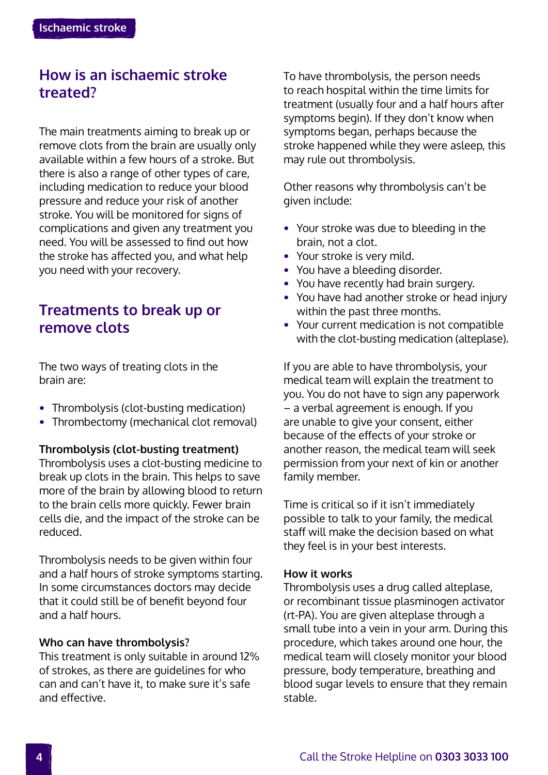# **How is an ischaemic stroke treated?**

The main treatments aiming to break up or remove clots from the brain are usually only available within a few hours of a stroke. But there is also a range of other types of care, including medication to reduce your blood pressure and reduce your risk of another stroke. You will be monitored for signs of complications and given any treatment you need. You will be assessed to find out how the stroke has affected you, and what help you need with your recovery.

# **Treatments to break up or remove clots**

The two ways of treating clots in the brain are:

- **•** Thrombolysis (clot-busting medication)
- **•** Thrombectomy (mechanical clot removal)

### **Thrombolysis (clot-busting treatment)**

Thrombolysis uses a clot-busting medicine to break up clots in the brain. This helps to save more of the brain by allowing blood to return to the brain cells more quickly. Fewer brain cells die, and the impact of the stroke can be reduced.

Thrombolysis needs to be given within four and a half hours of stroke symptoms starting. In some circumstances doctors may decide that it could still be of benefit beyond four and a half hours.

### **Who can have thrombolysis?**

This treatment is only suitable in around 12% of strokes, as there are guidelines for who can and can't have it, to make sure it's safe and effective.

To have thrombolysis, the person needs to reach hospital within the time limits for treatment (usually four and a half hours after symptoms begin). If they don't know when symptoms began, perhaps because the stroke happened while they were asleep, this may rule out thrombolysis.

Other reasons why thrombolysis can't be given include:

- **•** Your stroke was due to bleeding in the brain, not a clot.
- **•** Your stroke is very mild.
- **•** You have a bleeding disorder.
- **•** You have recently had brain surgery.
- **•** You have had another stroke or head injury within the past three months.
- **•** Your current medication is not compatible with the clot-busting medication (alteplase).

If you are able to have thrombolysis, your medical team will explain the treatment to you. You do not have to sign any paperwork – a verbal agreement is enough. If you are unable to give your consent, either because of the effects of your stroke or another reason, the medical team will seek permission from your next of kin or another family member.

Time is critical so if it isn't immediately possible to talk to your family, the medical staff will make the decision based on what they feel is in your best interests.

### **How it works**

Thrombolysis uses a drug called alteplase, or recombinant tissue plasminogen activator (rt-PA). You are given alteplase through a small tube into a vein in your arm. During this procedure, which takes around one hour, the medical team will closely monitor your blood pressure, body temperature, breathing and blood sugar levels to ensure that they remain stable.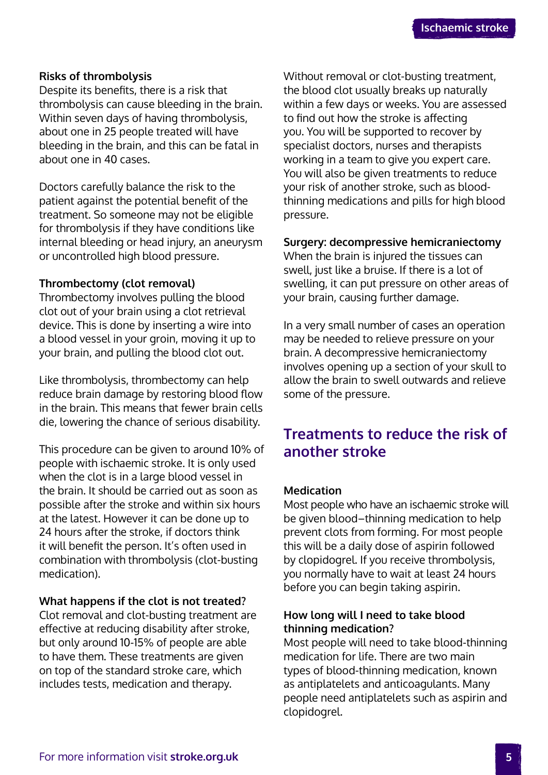### **Risks of thrombolysis**

Despite its benefits, there is a risk that thrombolysis can cause bleeding in the brain. Within seven days of having thrombolysis, about one in 25 people treated will have bleeding in the brain, and this can be fatal in about one in 40 cases.

Doctors carefully balance the risk to the patient against the potential benefit of the treatment. So someone may not be eligible for thrombolysis if they have conditions like internal bleeding or head injury, an aneurysm or uncontrolled high blood pressure.

### **Thrombectomy (clot removal)**

Thrombectomy involves pulling the blood clot out of your brain using a clot retrieval device. This is done by inserting a wire into a blood vessel in your groin, moving it up to your brain, and pulling the blood clot out.

Like thrombolysis, thrombectomy can help reduce brain damage by restoring blood flow in the brain. This means that fewer brain cells die, lowering the chance of serious disability.

This procedure can be given to around 10% of people with ischaemic stroke. It is only used when the clot is in a large blood vessel in the brain. It should be carried out as soon as possible after the stroke and within six hours at the latest. However it can be done up to 24 hours after the stroke, if doctors think it will benefit the person. It's often used in combination with thrombolysis (clot-busting medication).

### **What happens if the clot is not treated?**

Clot removal and clot-busting treatment are effective at reducing disability after stroke, but only around 10-15% of people are able to have them. These treatments are given on top of the standard stroke care, which includes tests, medication and therapy.

Without removal or clot-busting treatment, the blood clot usually breaks up naturally within a few days or weeks. You are assessed to find out how the stroke is affecting you. You will be supported to recover by specialist doctors, nurses and therapists working in a team to give you expert care. You will also be given treatments to reduce your risk of another stroke, such as bloodthinning medications and pills for high blood pressure.

### **Surgery: decompressive hemicraniectomy**

When the brain is injured the tissues can swell, just like a bruise. If there is a lot of swelling, it can put pressure on other areas of your brain, causing further damage.

In a very small number of cases an operation may be needed to relieve pressure on your brain. A decompressive hemicraniectomy involves opening up a section of your skull to allow the brain to swell outwards and relieve some of the pressure.

# **Treatments to reduce the risk of another stroke**

### **Medication**

Most people who have an ischaemic stroke will be given blood–thinning medication to help prevent clots from forming. For most people this will be a daily dose of aspirin followed by clopidogrel. If you receive thrombolysis, you normally have to wait at least 24 hours before you can begin taking aspirin.

### **How long will I need to take blood thinning medication?**

Most people will need to take blood-thinning medication for life. There are two main types of blood-thinning medication, known as antiplatelets and anticoagulants. Many people need antiplatelets such as aspirin and clopidogrel.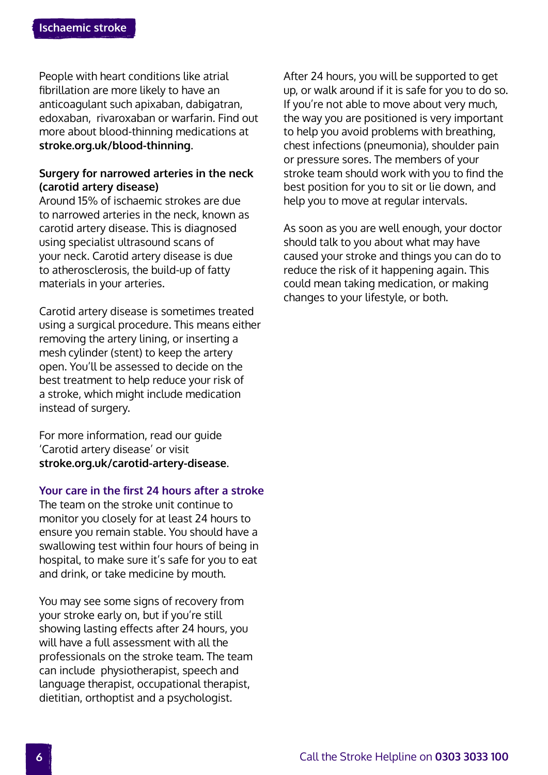People with heart conditions like atrial fibrillation are more likely to have an anticoagulant such apixaban, dabigatran, edoxaban, rivaroxaban or warfarin. Find out more about blood-thinning medications at **[stroke.org.uk/blood-thinning](http://www.stroke.org.uk/blood-thinning)**.

### **Surgery for narrowed arteries in the neck (carotid artery disease)**

Around 15% of ischaemic strokes are due to narrowed arteries in the neck, known as carotid artery disease. This is diagnosed using specialist ultrasound scans of your neck. Carotid artery disease is due to atherosclerosis, the build-up of fatty materials in your arteries.

Carotid artery disease is sometimes treated using a surgical procedure. This means either removing the artery lining, or inserting a mesh cylinder (stent) to keep the artery open. You'll be assessed to decide on the best treatment to help reduce your risk of a stroke, which might include medication instead of surgery.

For more information, read our guide 'Carotid artery disease' or visit **[stroke.org.uk/carotid-artery-disease](http://www.stroke.org.uk/carotid-artery-disease)**.

### **Your care in the first 24 hours after a stroke**

The team on the stroke unit continue to monitor you closely for at least 24 hours to ensure you remain stable. You should have a swallowing test within four hours of being in hospital, to make sure it's safe for you to eat and drink, or take medicine by mouth.

You may see some signs of recovery from your stroke early on, but if you're still showing lasting effects after 24 hours, you will have a full assessment with all the professionals on the stroke team. The team can include physiotherapist, speech and language therapist, occupational therapist, dietitian, orthoptist and a psychologist.

After 24 hours, you will be supported to get up, or walk around if it is safe for you to do so. If you're not able to move about very much, the way you are positioned is very important to help you avoid problems with breathing, chest infections (pneumonia), shoulder pain or pressure sores. The members of your stroke team should work with you to find the best position for you to sit or lie down, and help you to move at regular intervals.

As soon as you are well enough, your doctor should talk to you about what may have caused your stroke and things you can do to reduce the risk of it happening again. This could mean taking medication, or making changes to your lifestyle, or both.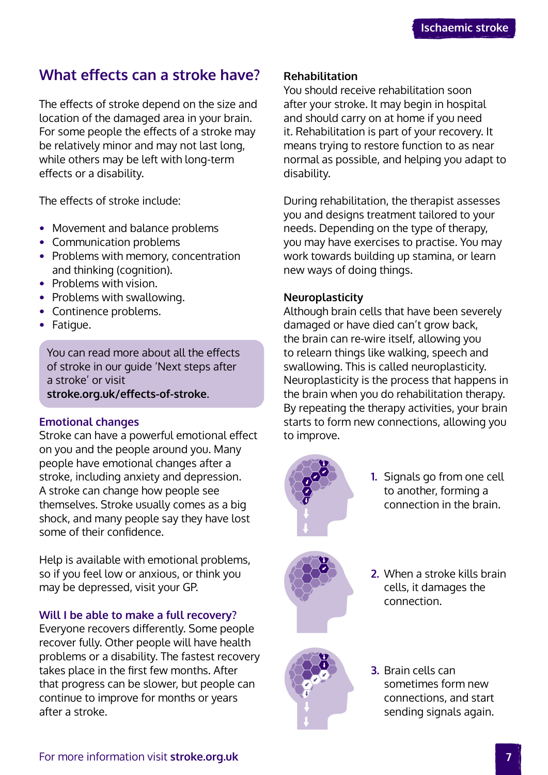# **What effects can a stroke have?**

The effects of stroke depend on the size and location of the damaged area in your brain. For some people the effects of a stroke may be relatively minor and may not last long, while others may be left with long-term effects or a disability.

The effects of stroke include:

- **•** Movement and balance problems
- **•** Communication problems
- **•** Problems with memory, concentration and thinking (cognition).
- **•** Problems with vision.
- **•** Problems with swallowing.
- **•** Continence problems.
- **•** Fatigue.

You can read more about all the effects of stroke in our guide 'Next steps after a stroke' or visit **[stroke.org.uk/effects-of-stroke](http://www.stroke.org.uk/effects-of-stroke)**.

### **Emotional changes**

Stroke can have a powerful emotional effect on you and the people around you. Many people have emotional changes after a stroke, including anxiety and depression. A stroke can change how people see themselves. Stroke usually comes as a big shock, and many people say they have lost some of their confidence.

Help is available with emotional problems, so if you feel low or anxious, or think you may be depressed, visit your GP.

### **Will I be able to make a full recovery?**

Everyone recovers differently. Some people recover fully. Other people will have health problems or a disability. The fastest recovery takes place in the first few months. After that progress can be slower, but people can continue to improve for months or years after a stroke.

### **Rehabilitation**

You should receive rehabilitation soon after your stroke. It may begin in hospital and should carry on at home if you need it. Rehabilitation is part of your recovery. It means trying to restore function to as near normal as possible, and helping you adapt to disability.

During rehabilitation, the therapist assesses you and designs treatment tailored to your needs. Depending on the type of therapy, you may have exercises to practise. You may work towards building up stamina, or learn new ways of doing things.

### **Neuroplasticity**

Although brain cells that have been severely damaged or have died can't grow back, the brain can re-wire itself, allowing you to relearn things like walking, speech and swallowing. This is called neuroplasticity. Neuroplasticity is the process that happens in the brain when you do rehabilitation therapy. By repeating the therapy activities, your brain starts to form new connections, allowing you to improve.



**1.** Signals go from one cell to another, forming a connection in the brain.



**2.** When a stroke kills brain cells, it damages the connection.



**3.** Brain cells can sometimes form new connections, and start sending signals again.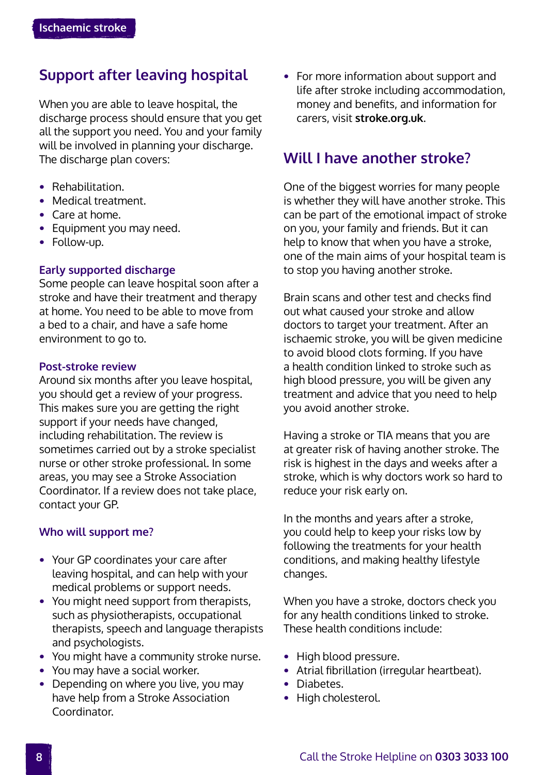# **Support after leaving hospital**

When you are able to leave hospital, the discharge process should ensure that you get all the support you need. You and your family will be involved in planning your discharge. The discharge plan covers:

- **•** Rehabilitation.
- **•** Medical treatment.
- **•** Care at home.
- **•** Equipment you may need.
- **•** Follow-up.

### **Early supported discharge**

Some people can leave hospital soon after a stroke and have their treatment and therapy at home. You need to be able to move from a bed to a chair, and have a safe home environment to go to.

### **Post-stroke review**

Around six months after you leave hospital, you should get a review of your progress. This makes sure you are getting the right support if your needs have changed, including rehabilitation. The review is sometimes carried out by a stroke specialist nurse or other stroke professional. In some areas, you may see a Stroke Association Coordinator. If a review does not take place, contact your GP.

### **Who will support me?**

- **•** Your GP coordinates your care after leaving hospital, and can help with your medical problems or support needs.
- **•** You might need support from therapists, such as physiotherapists, occupational therapists, speech and language therapists and psychologists.
- **•** You might have a community stroke nurse.
- **•** You may have a social worker.
- **•** Depending on where you live, you may have help from a Stroke Association Coordinator.

**•** For more information about support and life after stroke including accommodation, money and benefits, and information for carers, visit **[stroke.org.uk](http://www.stroke.org.uk)**.

### **Will I have another stroke?**

One of the biggest worries for many people is whether they will have another stroke. This can be part of the emotional impact of stroke on you, your family and friends. But it can help to know that when you have a stroke, one of the main aims of your hospital team is to stop you having another stroke.

Brain scans and other test and checks find out what caused your stroke and allow doctors to target your treatment. After an ischaemic stroke, you will be given medicine to avoid blood clots forming. If you have a health condition linked to stroke such as high blood pressure, you will be given any treatment and advice that you need to help you avoid another stroke.

Having a stroke or TIA means that you are at greater risk of having another stroke. The risk is highest in the days and weeks after a stroke, which is why doctors work so hard to reduce your risk early on.

In the months and years after a stroke, you could help to keep your risks low by following the treatments for your health conditions, and making healthy lifestyle changes.

When you have a stroke, doctors check you for any health conditions linked to stroke. These health conditions include:

- **•** High blood pressure.
- **•** Atrial fibrillation (irregular heartbeat).
- **•** Diabetes.
- **•** High cholesterol.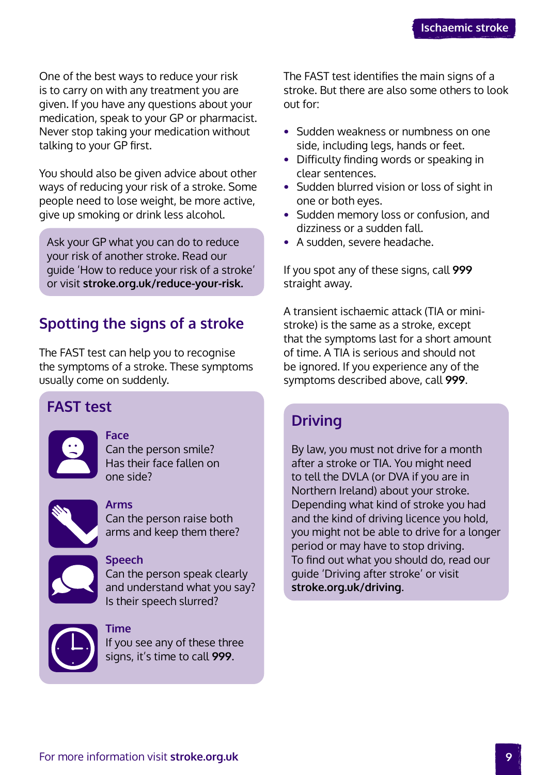<span id="page-8-0"></span>One of the best ways to reduce your risk is to carry on with any treatment you are given. If you have any questions about your medication, speak to your GP or pharmacist. Never stop taking your medication without talking to your GP first.

You should also be given advice about other ways of reducing your risk of a stroke. Some people need to lose weight, be more active, give up smoking or drink less alcohol.

Ask your GP what you can do to reduce your risk of another stroke. Read our guide 'How to reduce your risk of a stroke' or visit **[stroke.org.uk/reduce-your-risk.](http://www.stroke.org.uk/reduce-your-risk)**

# **Spotting the signs of a stroke**

The FAST test can help you to recognise the symptoms of a stroke. These symptoms usually come on suddenly.

# **FAST test**



### **Face**

Can the person smile? Has their face fallen on one side?



### **Arms**

Can the person raise both arms and keep them there?



### **Speech**

**Time**

Can the person speak clearly and understand what you say? Is their speech slurred?



If you see any of these three signs, it's time to call **999**.

The FAST test identifies the main signs of a stroke. But there are also some others to look out for:

- **•** Sudden weakness or numbness on one side, including legs, hands or feet.
- **•** Difficulty finding words or speaking in clear sentences.
- **•** Sudden blurred vision or loss of sight in one or both eyes.
- **•** Sudden memory loss or confusion, and dizziness or a sudden fall.
- **•** A sudden, severe headache.

If you spot any of these signs, call **999** straight away.

A transient ischaemic attack (TIA or ministroke) is the same as a stroke, except that the symptoms last for a short amount of time. A TIA is serious and should not be ignored. If you experience any of the symptoms described above, call **999**.

# **Driving**

By law, you must not drive for a month after a stroke or TIA. You might need to tell the DVLA (or DVA if you are in Northern Ireland) about your stroke. Depending what kind of stroke you had and the kind of driving licence you hold, you might not be able to drive for a longer period or may have to stop driving. To find out what you should do, read our guide 'Driving after stroke' or visit **[stroke.org.uk/driving](http://www.stroke.org.uk/driving)**.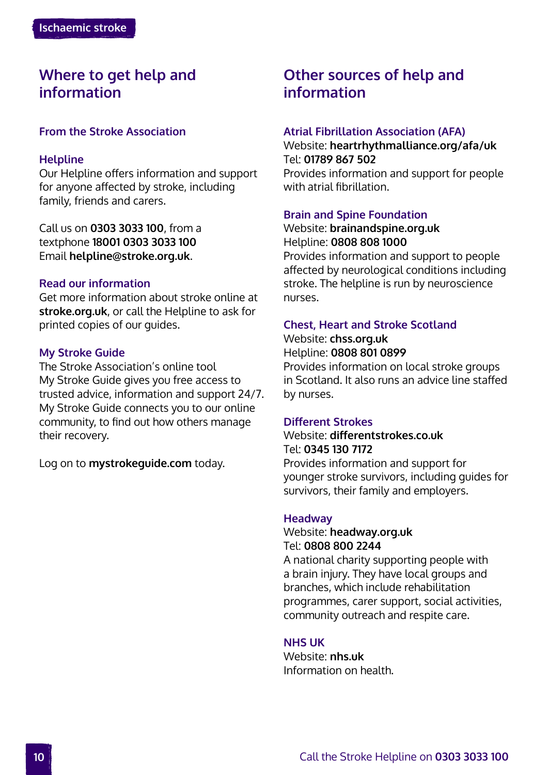## **Where to get help and information**

### **From the Stroke Association**

### **Helpline**

Our Helpline offers information and support for anyone affected by stroke, including family, friends and carers.

Call us on **0303 3033 100**, from a textphone **18001 0303 3033 100** Email **helpline@stroke.org.uk**.

### **Read our information**

Get more information about stroke online at **[stroke.org.uk](http://www.stroke.org.uk)**, or call the Helpline to ask for printed copies of our guides.

### **My Stroke Guide**

The Stroke Association's online tool My Stroke Guide gives you free access to trusted advice, information and support 24/7. My Stroke Guide connects you to our online community, to find out how others manage their recovery.

Log on to **[mystrokeguide.com](http://www.mystrokeguide.com)** today.

# **Other sources of help and information**

### **Atrial Fibrillation Association (AFA)**

Website: **[heartrhythmalliance.org/afa/uk](http://www.heartrhythmalliance.org/afa/uk)** Tel: **01789 867 502** Provides information and support for people with atrial fibrillation.

### **Brain and Spine Foundation**

Website: **[brainandspine.org.uk](http://www.brainandspine.org.uk)** Helpline: **0808 808 1000**

Provides information and support to people affected by neurological conditions including stroke. The helpline is run by neuroscience nurses.

### **Chest, Heart and Stroke Scotland**

Website: **[chss.org.uk](http://www.chss.org.uk)** Helpline: **0808 801 0899**

Provides information on local stroke groups in Scotland. It also runs an advice line staffed by nurses.

### **Different Strokes**

### Website: **[differentstrokes.co.uk](http://www.differentstrokes.co.uk)** Tel: **0345 130 7172**

Provides information and support for younger stroke survivors, including guides for survivors, their family and employers.

### **Headway**

### Website: **[headway.org.uk](http://www.headway.org.uk)** Tel: **0808 800 2244**

A national charity supporting people with a brain injury. They have local groups and branches, which include rehabilitation programmes, carer support, social activities, community outreach and respite care.

### **NHS UK**

Website: **[nhs.uk](http://www.nhs.uk)** Information on health.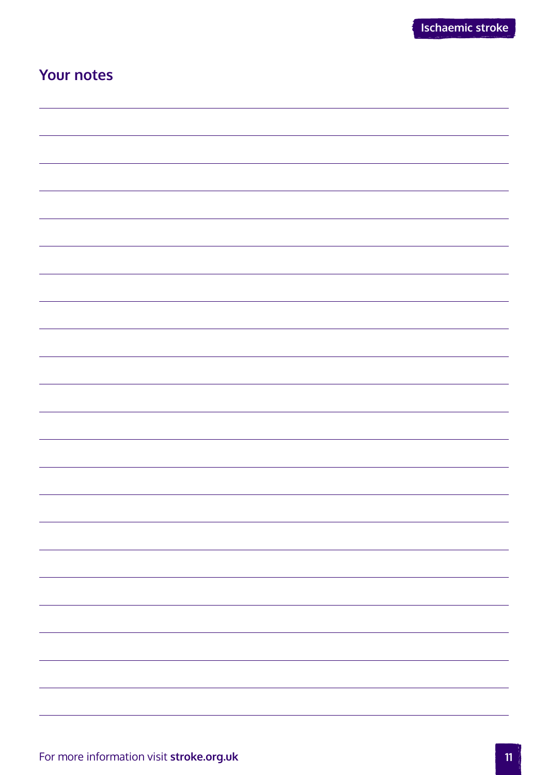# **Your notes**